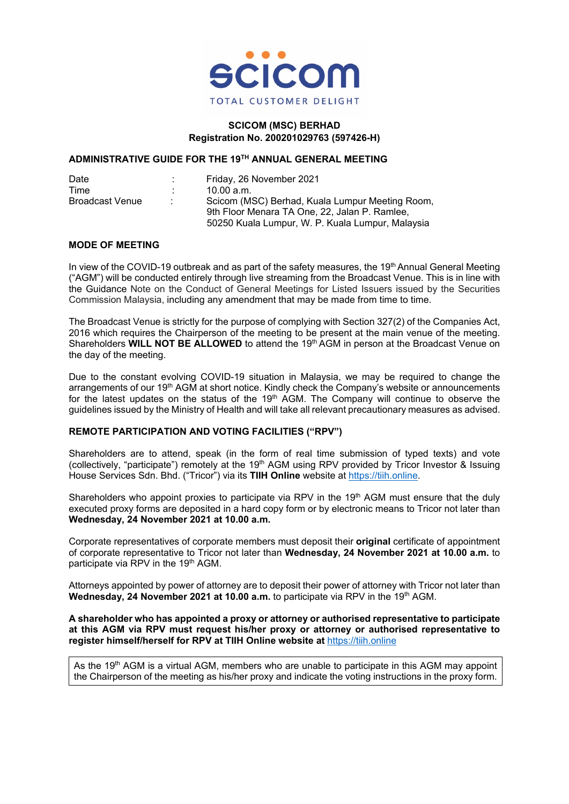

#### **SCICOM (MSC) BERHAD Registration No. 200201029763 (597426-H)**

#### **ADMINISTRATIVE GUIDE FOR THE 19TH ANNUAL GENERAL MEETING**

| Date                   |  | Friday, 26 November 2021                         |
|------------------------|--|--------------------------------------------------|
| Time                   |  | 10.00 a.m.                                       |
| <b>Broadcast Venue</b> |  | Scicom (MSC) Berhad, Kuala Lumpur Meeting Room,  |
|                        |  | 9th Floor Menara TA One, 22, Jalan P. Ramlee,    |
|                        |  | 50250 Kuala Lumpur, W. P. Kuala Lumpur, Malaysia |

## **MODE OF MEETING**

In view of the COVID-19 outbreak and as part of the safety measures, the 19<sup>th</sup> Annual General Meeting ("AGM") will be conducted entirely through live streaming from the Broadcast Venue. This is in line with the Guidance Note on the Conduct of General Meetings for Listed Issuers issued by the Securities Commission Malaysia, including any amendment that may be made from time to time.

The Broadcast Venue is strictly for the purpose of complying with Section 327(2) of the Companies Act, 2016 which requires the Chairperson of the meeting to be present at the main venue of the meeting. Shareholders **WILL NOT BE ALLOWED** to attend the 19<sup>th</sup> AGM in person at the Broadcast Venue on the day of the meeting.

Due to the constant evolving COVID-19 situation in Malaysia, we may be required to change the arrangements of our 19<sup>th</sup> AGM at short notice. Kindly check the Company's website or announcements for the latest updates on the status of the  $19<sup>th</sup>$  AGM. The Company will continue to observe the guidelines issued by the Ministry of Health and will take all relevant precautionary measures as advised.

# **REMOTE PARTICIPATION AND VOTING FACILITIES ("RPV")**

Shareholders are to attend, speak (in the form of real time submission of typed texts) and vote (collectively, "participate") remotely at the 19<sup>th</sup> AGM using RPV provided by Tricor Investor & Issuing House Services Sdn. Bhd. ("Tricor") via its **TIIH Online** website at [https://tiih.online.](https://tiih.online/)

Shareholders who appoint proxies to participate via RPV in the 19<sup>th</sup> AGM must ensure that the duly executed proxy forms are deposited in a hard copy form or by electronic means to Tricor not later than **Wednesday, 24 November 2021 at 10.00 a.m.**

Corporate representatives of corporate members must deposit their **original** certificate of appointment of corporate representative to Tricor not later than **Wednesday, 24 November 2021 at 10.00 a.m.** to participate via RPV in the 19<sup>th</sup> AGM.

Attorneys appointed by power of attorney are to deposit their power of attorney with Tricor not later than **Wednesday, 24 November 2021 at 10.00 a.m.** to participate via RPV in the 19<sup>th</sup> AGM.

#### **A shareholder who has appointed a proxy or attorney or authorised representative to participate at this AGM via RPV must request his/her proxy or attorney or authorised representative to register himself/herself for RPV at TIIH Online website at** [https://tiih.online](https://tiih.online/)

As the 19<sup>th</sup> AGM is a virtual AGM, members who are unable to participate in this AGM may appoint the Chairperson of the meeting as his/her proxy and indicate the voting instructions in the proxy form.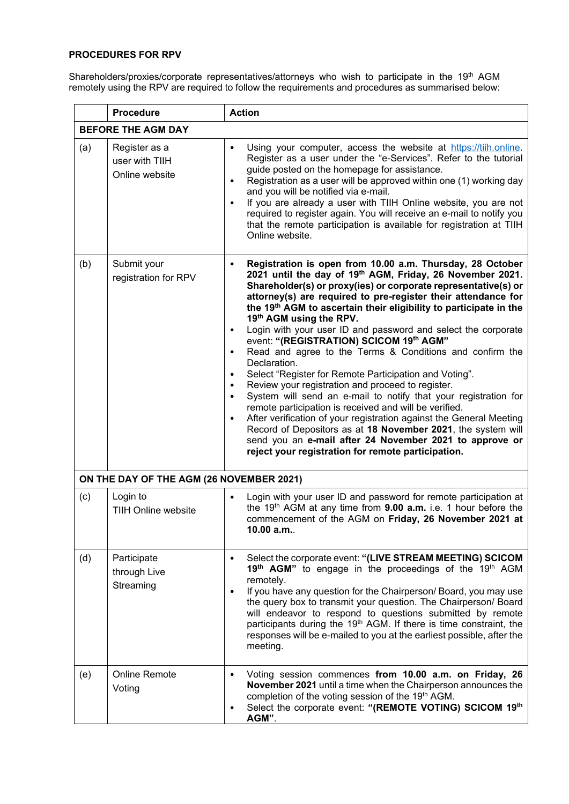# **PROCEDURES FOR RPV**

Shareholders/proxies/corporate representatives/attorneys who wish to participate in the 19<sup>th</sup> AGM remotely using the RPV are required to follow the requirements and procedures as summarised below:

|     | <b>Procedure</b>                                  | <b>Action</b>                                                                                                                                                                                                                                                                                                                                                                                                                                                                                                                                                                                                                                                                                                                                                                                                                                                                                                                                                                                                                                                                                                                                                |  |  |  |
|-----|---------------------------------------------------|--------------------------------------------------------------------------------------------------------------------------------------------------------------------------------------------------------------------------------------------------------------------------------------------------------------------------------------------------------------------------------------------------------------------------------------------------------------------------------------------------------------------------------------------------------------------------------------------------------------------------------------------------------------------------------------------------------------------------------------------------------------------------------------------------------------------------------------------------------------------------------------------------------------------------------------------------------------------------------------------------------------------------------------------------------------------------------------------------------------------------------------------------------------|--|--|--|
|     | <b>BEFORE THE AGM DAY</b>                         |                                                                                                                                                                                                                                                                                                                                                                                                                                                                                                                                                                                                                                                                                                                                                                                                                                                                                                                                                                                                                                                                                                                                                              |  |  |  |
| (a) | Register as a<br>user with TIIH<br>Online website | Using your computer, access the website at https://tiih.online.<br>$\bullet$<br>Register as a user under the "e-Services". Refer to the tutorial<br>guide posted on the homepage for assistance.<br>Registration as a user will be approved within one (1) working day<br>$\bullet$<br>and you will be notified via e-mail.<br>If you are already a user with TIIH Online website, you are not<br>$\bullet$<br>required to register again. You will receive an e-mail to notify you<br>that the remote participation is available for registration at TIIH<br>Online website.                                                                                                                                                                                                                                                                                                                                                                                                                                                                                                                                                                                |  |  |  |
| (b) | Submit your<br>registration for RPV               | Registration is open from 10.00 a.m. Thursday, 28 October<br>$\bullet$<br>2021 until the day of 19th AGM, Friday, 26 November 2021.<br>Shareholder(s) or proxy(ies) or corporate representative(s) or<br>attorney(s) are required to pre-register their attendance for<br>the 19 <sup>th</sup> AGM to ascertain their eligibility to participate in the<br>19th AGM using the RPV.<br>Login with your user ID and password and select the corporate<br>$\bullet$<br>event: "(REGISTRATION) SCICOM 19th AGM"<br>Read and agree to the Terms & Conditions and confirm the<br>$\bullet$<br>Declaration.<br>Select "Register for Remote Participation and Voting".<br>$\bullet$<br>Review your registration and proceed to register.<br>$\bullet$<br>System will send an e-mail to notify that your registration for<br>$\bullet$<br>remote participation is received and will be verified.<br>After verification of your registration against the General Meeting<br>$\bullet$<br>Record of Depositors as at 18 November 2021, the system will<br>send you an e-mail after 24 November 2021 to approve or<br>reject your registration for remote participation. |  |  |  |
|     | ON THE DAY OF THE AGM (26 NOVEMBER 2021)          |                                                                                                                                                                                                                                                                                                                                                                                                                                                                                                                                                                                                                                                                                                                                                                                                                                                                                                                                                                                                                                                                                                                                                              |  |  |  |
| (c) | Login to<br>TIIH Online website                   | Login with your user ID and password for remote participation at<br>$\bullet$<br>the $19th$ AGM at any time from <b>9.00 a.m.</b> i.e. 1 hour before the<br>commencement of the AGM on Friday, 26 November 2021 at<br>10.00 a.m.                                                                                                                                                                                                                                                                                                                                                                                                                                                                                                                                                                                                                                                                                                                                                                                                                                                                                                                             |  |  |  |
| (d) | Participate<br>through Live<br>Streaming          | Select the corporate event: "(LIVE STREAM MEETING) SCICOM<br>$\bullet$<br>19 <sup>th</sup> AGM" to engage in the proceedings of the 19 <sup>th</sup> AGM<br>remotely.<br>If you have any question for the Chairperson/ Board, you may use<br>$\bullet$<br>the query box to transmit your question. The Chairperson/ Board<br>will endeavor to respond to questions submitted by remote<br>participants during the 19 <sup>th</sup> AGM. If there is time constraint, the<br>responses will be e-mailed to you at the earliest possible, after the<br>meeting.                                                                                                                                                                                                                                                                                                                                                                                                                                                                                                                                                                                                |  |  |  |
| (e) | <b>Online Remote</b><br>Voting                    | Voting session commences from 10.00 a.m. on Friday, 26<br>$\bullet$<br>November 2021 until a time when the Chairperson announces the<br>completion of the voting session of the 19th AGM.<br>Select the corporate event: "(REMOTE VOTING) SCICOM 19th<br>٠<br>AGM".                                                                                                                                                                                                                                                                                                                                                                                                                                                                                                                                                                                                                                                                                                                                                                                                                                                                                          |  |  |  |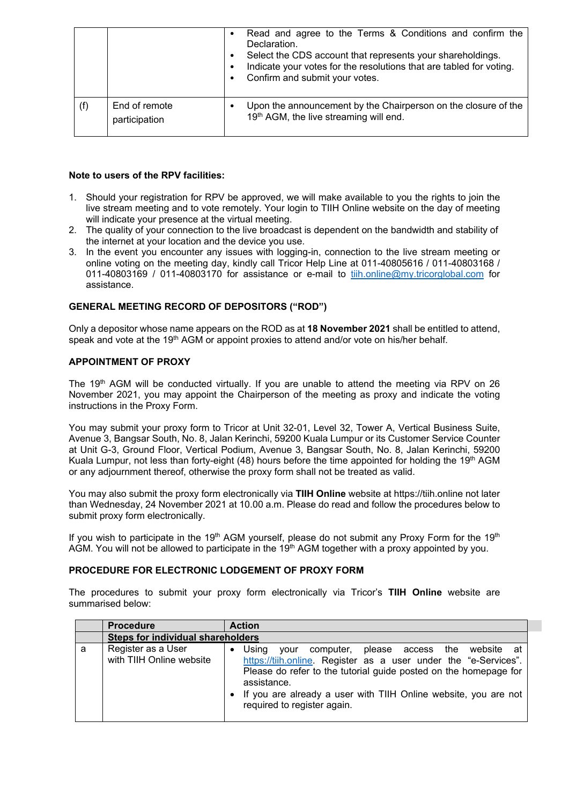|                                | $\bullet$ | Read and agree to the Terms & Conditions and confirm the<br>Declaration.<br>Select the CDS account that represents your shareholdings.<br>Indicate your votes for the resolutions that are tabled for voting.<br>Confirm and submit your votes. |
|--------------------------------|-----------|-------------------------------------------------------------------------------------------------------------------------------------------------------------------------------------------------------------------------------------------------|
| End of remote<br>participation |           | Upon the announcement by the Chairperson on the closure of the<br>19th AGM, the live streaming will end.                                                                                                                                        |

# **Note to users of the RPV facilities:**

- 1. Should your registration for RPV be approved, we will make available to you the rights to join the live stream meeting and to vote remotely. Your login to TIIH Online website on the day of meeting will indicate your presence at the virtual meeting.
- 2. The quality of your connection to the live broadcast is dependent on the bandwidth and stability of the internet at your location and the device you use.
- 3. In the event you encounter any issues with logging-in, connection to the live stream meeting or online voting on the meeting day, kindly call Tricor Help Line at 011-40805616 / 011-40803168 / 011-40803169 / 011-40803170 for assistance or e-mail to [tiih.online@my.tricorglobal.com](mailto:tiih.online@my.tricorglobal.com) for assistance.

## **GENERAL MEETING RECORD OF DEPOSITORS ("ROD")**

Only a depositor whose name appears on the ROD as at **18 November 2021** shall be entitled to attend, speak and vote at the 19<sup>th</sup> AGM or appoint proxies to attend and/or vote on his/her behalf.

## **APPOINTMENT OF PROXY**

The 19<sup>th</sup> AGM will be conducted virtually. If you are unable to attend the meeting via RPV on 26 November 2021, you may appoint the Chairperson of the meeting as proxy and indicate the voting instructions in the Proxy Form.

You may submit your proxy form to Tricor at Unit 32-01, Level 32, Tower A, Vertical Business Suite, Avenue 3, Bangsar South, No. 8, Jalan Kerinchi, 59200 Kuala Lumpur or its Customer Service Counter at Unit G-3, Ground Floor, Vertical Podium, Avenue 3, Bangsar South, No. 8, Jalan Kerinchi, 59200 Kuala Lumpur, not less than forty-eight (48) hours before the time appointed for holding the 19<sup>th</sup> AGM or any adjournment thereof, otherwise the proxy form shall not be treated as valid.

You may also submit the proxy form electronically via **TIIH Online** website at https://tiih.online not later than Wednesday, 24 November 2021 at 10.00 a.m. Please do read and follow the procedures below to submit proxy form electronically.

If you wish to participate in the 19<sup>th</sup> AGM yourself, please do not submit any Proxy Form for the 19<sup>th</sup> AGM. You will not be allowed to participate in the  $19<sup>th</sup>$  AGM together with a proxy appointed by you.

#### **PROCEDURE FOR ELECTRONIC LODGEMENT OF PROXY FORM**

The procedures to submit your proxy form electronically via Tricor's **TIIH Online** website are summarised below:

|   | <b>Procedure</b>                               | <b>Action</b>                                                                                                                                                                                                                                                                                                     |  |  |  |  |
|---|------------------------------------------------|-------------------------------------------------------------------------------------------------------------------------------------------------------------------------------------------------------------------------------------------------------------------------------------------------------------------|--|--|--|--|
|   | <b>Steps for individual shareholders</b>       |                                                                                                                                                                                                                                                                                                                   |  |  |  |  |
| a | Register as a User<br>with TIIH Online website | Usina<br>computer, please access the website at<br>vour<br>https://tiih.online. Register as a user under the "e-Services".<br>Please do refer to the tutorial guide posted on the homepage for<br>assistance.<br>• If you are already a user with TIIH Online website, you are not<br>required to register again. |  |  |  |  |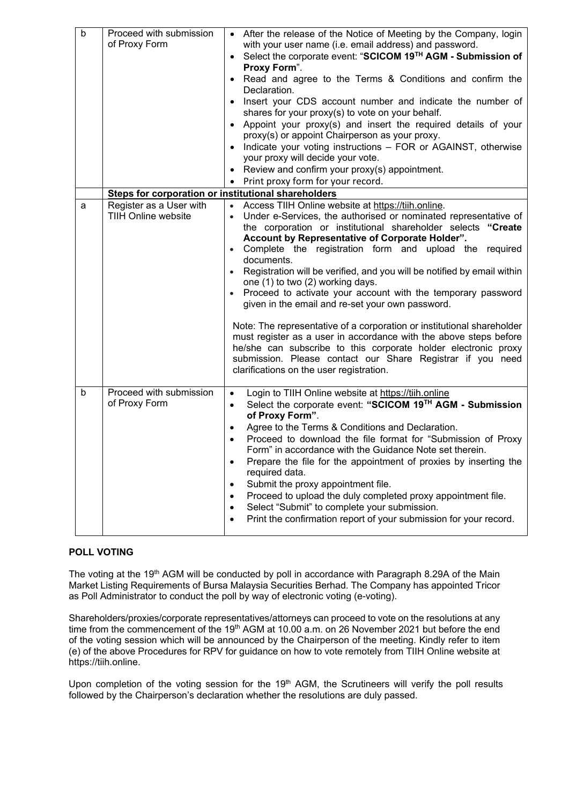| $\mathsf b$ | Proceed with submission<br>of Proxy Form              | • After the release of the Notice of Meeting by the Company, login<br>with your user name (i.e. email address) and password.<br>• Select the corporate event: "SCICOM 19TH AGM - Submission of<br>Proxy Form".<br>Read and agree to the Terms & Conditions and confirm the<br>Declaration.<br>Insert your CDS account number and indicate the number of<br>shares for your proxy(s) to vote on your behalf.<br>• Appoint your proxy(s) and insert the required details of your<br>proxy(s) or appoint Chairperson as your proxy.<br>• Indicate your voting instructions - FOR or AGAINST, otherwise<br>your proxy will decide your vote.                                                                                                                                                                                                                                                                   |
|-------------|-------------------------------------------------------|------------------------------------------------------------------------------------------------------------------------------------------------------------------------------------------------------------------------------------------------------------------------------------------------------------------------------------------------------------------------------------------------------------------------------------------------------------------------------------------------------------------------------------------------------------------------------------------------------------------------------------------------------------------------------------------------------------------------------------------------------------------------------------------------------------------------------------------------------------------------------------------------------------|
|             |                                                       | • Review and confirm your proxy(s) appointment.<br>• Print proxy form for your record.                                                                                                                                                                                                                                                                                                                                                                                                                                                                                                                                                                                                                                                                                                                                                                                                                     |
|             | Steps for corporation or institutional shareholders   |                                                                                                                                                                                                                                                                                                                                                                                                                                                                                                                                                                                                                                                                                                                                                                                                                                                                                                            |
| a           | Register as a User with<br><b>TIIH Online website</b> | Access TIIH Online website at https://tiih.online.<br>Under e-Services, the authorised or nominated representative of<br>the corporation or institutional shareholder selects "Create<br>Account by Representative of Corporate Holder".<br>• Complete the registration form and upload the required<br>documents.<br>Registration will be verified, and you will be notified by email within<br>$\bullet$<br>one (1) to two (2) working days.<br>Proceed to activate your account with the temporary password<br>$\bullet$<br>given in the email and re-set your own password.<br>Note: The representative of a corporation or institutional shareholder<br>must register as a user in accordance with the above steps before<br>he/she can subscribe to this corporate holder electronic proxy<br>submission. Please contact our Share Registrar if you need<br>clarifications on the user registration. |
| b           | Proceed with submission<br>of Proxy Form              | Login to TIIH Online website at https://tiih.online<br>$\bullet$<br>Select the corporate event: "SCICOM 19TH AGM - Submission<br>$\bullet$<br>of Proxy Form".<br>Agree to the Terms & Conditions and Declaration.<br>$\bullet$<br>Proceed to download the file format for "Submission of Proxy<br>Form" in accordance with the Guidance Note set therein.<br>Prepare the file for the appointment of proxies by inserting the<br>required data.<br>Submit the proxy appointment file.<br>Proceed to upload the duly completed proxy appointment file.<br>٠<br>Select "Submit" to complete your submission.<br>٠<br>Print the confirmation report of your submission for your record.<br>٠                                                                                                                                                                                                                  |

# **POLL VOTING**

The voting at the 19<sup>th</sup> AGM will be conducted by poll in accordance with Paragraph 8.29A of the Main Market Listing Requirements of Bursa Malaysia Securities Berhad. The Company has appointed Tricor as Poll Administrator to conduct the poll by way of electronic voting (e-voting).

Shareholders/proxies/corporate representatives/attorneys can proceed to vote on the resolutions at any time from the commencement of the 19<sup>th</sup> AGM at 10.00 a.m. on 26 November 2021 but before the end of the voting session which will be announced by the Chairperson of the meeting. Kindly refer to item (e) of the above Procedures for RPV for guidance on how to vote remotely from TIIH Online website at [https://tiih.online.](https://tiih.online/)

Upon completion of the voting session for the 19<sup>th</sup> AGM, the Scrutineers will verify the poll results followed by the Chairperson's declaration whether the resolutions are duly passed.